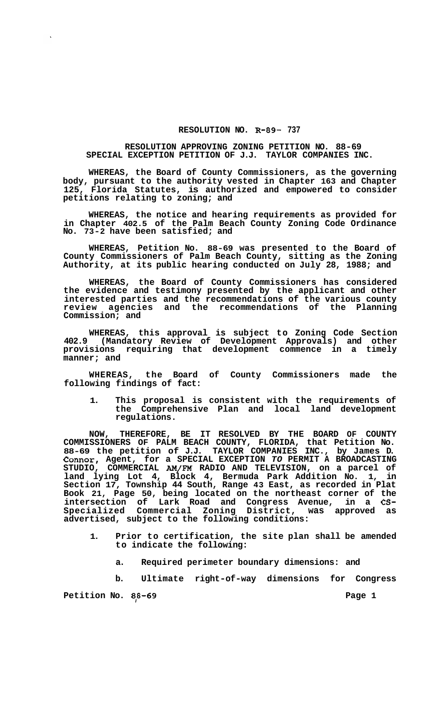## **RESOLUTION NO. R-89- 737**

## **RESOLUTION APPROVING ZONING PETITION NO. 88-69 SPECIAL EXCEPTION PETITION OF J.J. TAYLOR COMPANIES INC.**

**WHEREAS, the Board of County Commissioners, as the governing body, pursuant to the authority vested in Chapter 163 and Chapter 125, Florida Statutes, is authorized and empowered to consider petitions relating to zoning; and** 

**WHEREAS, the notice and hearing requirements as provided for in Chapter 402.5 of the Palm Beach County Zoning Code Ordinance No. 73-2 have been satisfied; and** 

**WHEREAS, Petition No. 88-69 was presented to the Board of County Commissioners of Palm Beach County, sitting as the Zoning Authority, at its public hearing conducted on July 28, 1988; and** 

**WHEREAS, the Board of County Commissioners has considered the evidence and testimony presented by the applicant and other interested parties and the recommendations of the various county review agencies and the recommendations of the Planning Commission; and** 

**WHEREAS, this approval is subject to Zoning Code Section 402.9 (Mandatory Review of Development Approvals) and other provisions requiring that development commence in a timely manner; and** 

**WHEREAS, the Board of County Commissioners made the following findings of fact:** 

**1. This proposal is consistent with the requirements of the Comprehensive Plan and local land development regulations.** 

**NOW, THEREFORE, BE IT RESOLVED BY THE BOARD OF COUNTY COMMISSIONERS OF PALM BEACH COUNTY, FLORIDA, that Petition No. 88-69 the petition of J.J. TAYLOR COMPANIES INC., by James D. Connor, Agent, for a SPECIAL EXCEPTION** *TO* **PERMIT A BROADCASTING STUDIO, COMMERCIAL AM/FM RADIO AND TELEVISION, on a parcel of land lying Lot 4, Block 4, Bermuda Park Addition No. 1, in Section 17, Township 44 South, Range 43 East, as recorded in Plat Book 21, Page 50, being located on the northeast corner of the intersection of Lark Road and Congress Avenue, in a CS-Specialized Commercial Zoning District, was approved as advertised, subject to the following conditions:** 

- **1. Prior to certification, the site plan shall be amended to indicate the following:** 
	- **a. Required perimeter boundary dimensions: and**

**b. Ultimate right-of-way dimensions for Congress** 

**Petition No. 88-69 Page 1**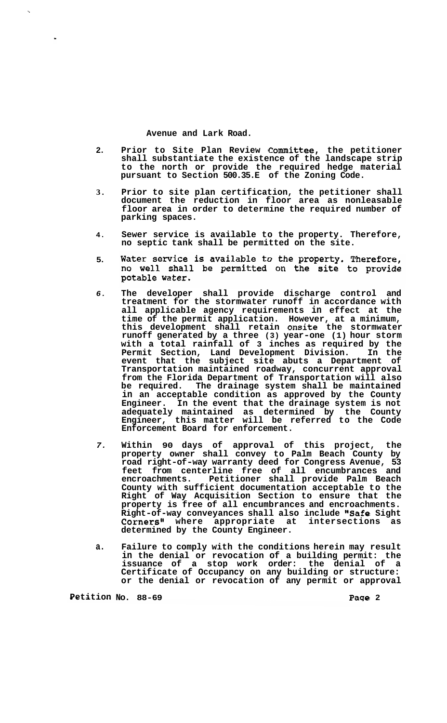**Avenue and Lark Road.** 

- **2. Prior to Site Plan Review Committee, the petitioner shall substantiate the existence of the landscape strip to the north or provide the required hedge material pursuant to Section 500.35.E of the Zoning Code.**
- **3. Prior to site plan certification, the petitioner shall document the reduction in floor area as nonleasable floor area in order to determine the required number of parking spaces.**
- **4. Sewer service is available to the property. Therefore, no septic tank shall be permitted on the site.**
- Water service is available to the property. Therefore, **5.**  no well shall be permitted on the site to provide potable water.
- *6.*  **The developer shall provide discharge control and treatment for the stormwater runoff in accordance with all applicable agency requirements in effect at the time of the permit application. However, at a minimum, this development shall retain onsite the stormwater runoff generated by a three (3) year-one (1) hour storm with a total rainfall of 3 inches as required by the Permit Section, Land Development Division. In the event that the subject site abuts a Department of Transportation maintained roadway, concurrent approval from the Florida Department of Transportation will also be required. The drainage system shall be maintained in an acceptable condition as approved by the County Engineer. In the event that the drainage system is not adequately maintained as determined by the County Engineer, this matter will be referred to the Code Enforcement Board for enforcement.**
- *7.*  **Within 90 days of approval of this project, the property owner shall convey to Palm Beach County by road right-of-way warranty deed for Congress Avenue, 53 feet from centerline free of all encumbrances and encroachments. Petitioner shall provide Palm Beach County with sufficient documentation acceptable to the Right of Way Acquisition Section to ensure that the property is free of all encumbrances and encroachments. Right-of-way conveyances shall also include "Safe Sight Corners" where appropriate at intersections as determined by the County Engineer.**
- **a. Failure to comply with the conditions herein may result in the denial or revocation of a building permit: the issuance of a stop work order: the denial of a Certificate of Occupancy on any building or structure: or the denial or revocation of any permit or approval**

**Petition NO. 88-69 Page 2**